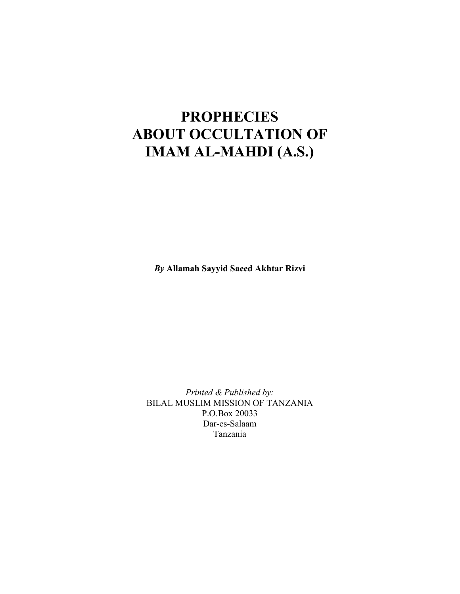## PROPHECIES ABOUT OCCULTATION OF IMAM AL-MAHDI (A.S.)

By Allamah Sayyid Saeed Akhtar Rizvi

Printed & Published by: BILAL MUSLIM MISSION OF TANZANIA P.O.Box 20033 Dar-es-Salaam Tanzania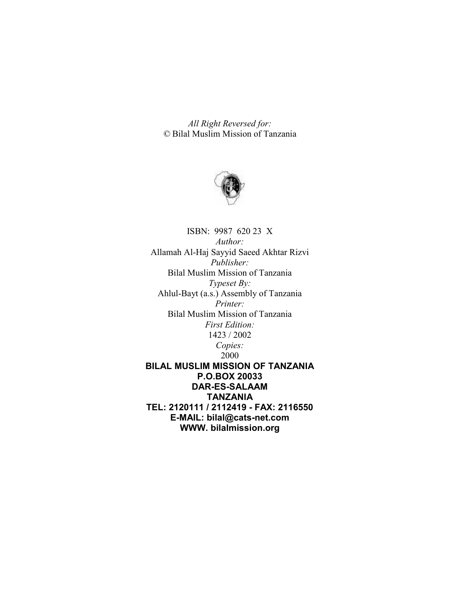All Right Reversed for: © Bilal Muslim Mission of Tanzania



ISBN: 9987 620 23 X Author: Allamah Al-Haj Sayyid Saeed Akhtar Rizvi Publisher: Bilal Muslim Mission of Tanzania Typeset By: Ahlul-Bayt (a.s.) Assembly of Tanzania Printer: Bilal Muslim Mission of Tanzania First Edition: 1423 / 2002 Copies: 2000 BILAL MUSLIM MISSION OF TANZANIA P.O.BOX 20033 DAR-ES-SALAAM TANZANIA TEL: 2120111 / 2112419 - FAX: 2116550 E-MAIL: bilal@cats-net.com WWW. bilalmission.org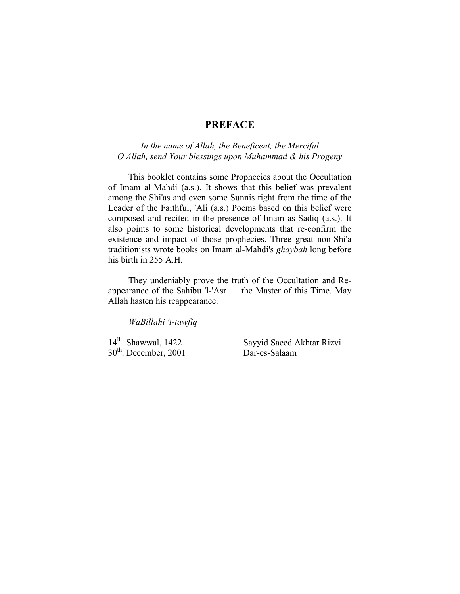## PREFACE

## In the name of Allah, the Beneficent, the Merciful O Allah, send Your blessings upon Muhammad & his Progeny

This booklet contains some Prophecies about the Occultation of Imam al-Mahdi (a.s.). It shows that this belief was prevalent among the Shi'as and even some Sunnis right from the time of the Leader of the Faithful, 'Ali (a.s.) Poems based on this belief were composed and recited in the presence of Imam as-Sadiq (a.s.). It also points to some historical developments that re-confirm the existence and impact of those prophecies. Three great non-Shi'a traditionists wrote books on Imam al-Mahdi's ghaybah long before his birth in 255 A.H.

They undeniably prove the truth of the Occultation and Reappearance of the Sahibu 'l-'Asr — the Master of this Time. May Allah hasten his reappearance.

WaBillahi 't-tawfiq

 $30<sup>th</sup>$ . December, 2001

14<sup>lh</sup>. Shawwal, 1422 Sayyid Saeed Akhtar Rizvi<br>30<sup>th</sup>. December. 2001 Dar-es-Salaam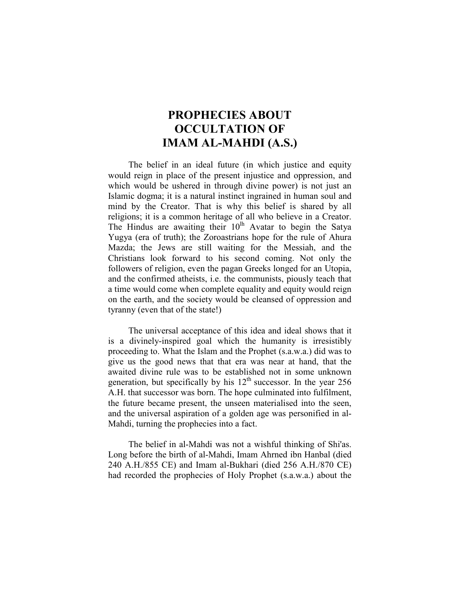## PROPHECIES ABOUT OCCULTATION OF IMAM AL-MAHDI (A.S.)

The belief in an ideal future (in which justice and equity would reign in place of the present injustice and oppression, and which would be ushered in through divine power) is not just an Islamic dogma; it is a natural instinct ingrained in human soul and mind by the Creator. That is why this belief is shared by all religions; it is a common heritage of all who believe in a Creator. The Hindus are awaiting their  $10<sup>lh</sup>$  Avatar to begin the Satya Yugya (era of truth); the Zoroastrians hope for the rule of Ahura Mazda; the Jews are still waiting for the Messiah, and the Christians look forward to his second coming. Not only the followers of religion, even the pagan Greeks longed for an Utopia, and the confirmed atheists, i.e. the communists, piously teach that a time would come when complete equality and equity would reign on the earth, and the society would be cleansed of oppression and tyranny (even that of the state!)

The universal acceptance of this idea and ideal shows that it is a divinely-inspired goal which the humanity is irresistibly proceeding to. What the Islam and the Prophet (s.a.w.a.) did was to give us the good news that that era was near at hand, that the awaited divine rule was to be established not in some unknown generation, but specifically by his  $12<sup>th</sup>$  successor. In the year 256 A.H. that successor was born. The hope culminated into fulfilment, the future became present, the unseen materialised into the seen, and the universal aspiration of a golden age was personified in al-Mahdi, turning the prophecies into a fact.

The belief in al-Mahdi was not a wishful thinking of Shi'as. Long before the birth of al-Mahdi, Imam Ahrned ibn Hanbal (died 240 A.H./855 CE) and Imam al-Bukhari (died 256 A.H./870 CE) had recorded the prophecies of Holy Prophet (s.a.w.a.) about the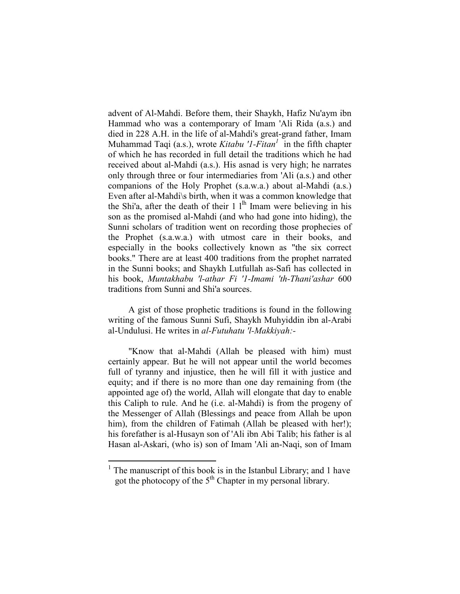advent of Al-Mahdi. Before them, their Shaykh, Hafiz Nu'aym ibn Hammad who was a contemporary of Imam 'Ali Rida (a.s.) and died in 228 A.H. in the life of al-Mahdi's great-grand father, Imam Muhammad Taqi (a.s.), wrote *Kitabu '1-Fitan*<sup>1</sup> in the fifth chapter of which he has recorded in full detail the traditions which he had received about al-Mahdi (a.s.). His asnad is very high; he narrates only through three or four intermediaries from 'Ali (a.s.) and other companions of the Holy Prophet (s.a.w.a.) about al-Mahdi (a.s.) Even after al-Mahdi\s birth, when it was a common knowledge that the Shi'a, after the death of their  $1 \,$ l<sup>lh</sup> Imam were believing in his son as the promised al-Mahdi (and who had gone into hiding), the Sunni scholars of tradition went on recording those prophecies of the Prophet (s.a.w.a.) with utmost care in their books, and especially in the books collectively known as "the six correct books." There are at least 400 traditions from the prophet narrated in the Sunni books; and Shaykh Lutfullah as-Safi has collected in his book, Muntakhabu 'l-athar Fi '1-Imami 'th-Thani'ashar 600 traditions from Sunni and Shi'a sources.

A gist of those prophetic traditions is found in the following writing of the famous Sunni Sufi, Shaykh Muhyiddin ibn al-Arabi al-Undulusi. He writes in al-Futuhatu 'l-Makkiyah:-

"Know that al-Mahdi (Allah be pleased with him) must certainly appear. But he will not appear until the world becomes full of tyranny and injustice, then he will fill it with justice and equity; and if there is no more than one day remaining from (the appointed age of) the world, Allah will elongate that day to enable this Caliph to rule. And he (i.e. al-Mahdi) is from the progeny of the Messenger of Allah (Blessings and peace from Allah be upon him), from the children of Fatimah (Allah be pleased with her!); his forefather is al-Husayn son of 'Ali ibn Abi Talib; his father is al Hasan al-Askari, (who is) son of Imam 'Ali an-Naqi, son of Imam

<sup>&</sup>lt;sup>1</sup> The manuscript of this book is in the Istanbul Library; and 1 have got the photocopy of the  $5<sup>th</sup>$  Chapter in my personal library.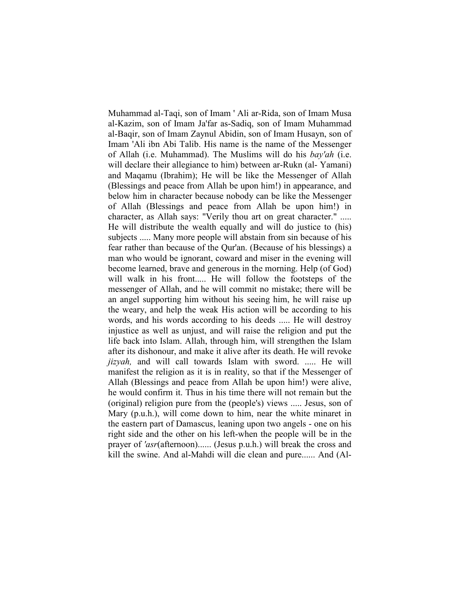Muhammad al-Taqi, son of Imam ' Ali ar-Rida, son of Imam Musa al-Kazim, son of Imam Ja'far as-Sadiq, son of Imam Muhammad al-Baqir, son of Imam Zaynul Abidin, son of Imam Husayn, son of Imam 'Ali ibn Abi Talib. His name is the name of the Messenger of Allah (i.e. Muhammad). The Muslims will do his bay'ah (i.e. will declare their allegiance to him) between ar-Rukn (al- Yamani) and Maqamu (Ibrahim); He will be like the Messenger of Allah (Blessings and peace from Allah be upon him!) in appearance, and below him in character because nobody can be like the Messenger of Allah (Blessings and peace from Allah be upon him!) in character, as Allah says: "Verily thou art on great character." ..... He will distribute the wealth equally and will do justice to (his) subjects ..... Many more people will abstain from sin because of his fear rather than because of the Qur'an. (Because of his blessings) a man who would be ignorant, coward and miser in the evening will become learned, brave and generous in the morning. Help (of God) will walk in his front..... He will follow the footsteps of the messenger of Allah, and he will commit no mistake; there will be an angel supporting him without his seeing him, he will raise up the weary, and help the weak His action will be according to his words, and his words according to his deeds ..... He will destroy injustice as well as unjust, and will raise the religion and put the life back into Islam. Allah, through him, will strengthen the Islam after its dishonour, and make it alive after its death. He will revoke jizyah, and will call towards Islam with sword. ..... He will manifest the religion as it is in reality, so that if the Messenger of Allah (Blessings and peace from Allah be upon him!) were alive, he would confirm it. Thus in his time there will not remain but the (original) religion pure from the (people's) views ..... Jesus, son of Mary (p.u.h.), will come down to him, near the white minaret in the eastern part of Damascus, leaning upon two angels - one on his right side and the other on his left-when the people will be in the prayer of 'asr(afternoon)...... (Jesus p.u.h.) will break the cross and kill the swine. And al-Mahdi will die clean and pure...... And (Al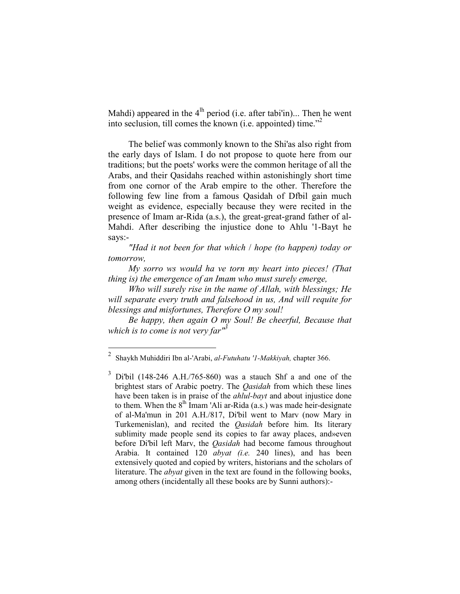Mahdi) appeared in the  $4<sup>lh</sup>$  period (i.e. after tabi'in)... Then he went into seclusion, till comes the known (i.e. appointed) time."<sup>2</sup>

The belief was commonly known to the Shi'as also right from the early days of Islam. I do not propose to quote here from our traditions; but the poets' works were the common heritage of all the Arabs, and their Qasidahs reached within astonishingly short time from one cornor of the Arab empire to the other. Therefore the following few line from a famous Qasidah of Dfbil gain much weight as evidence, especially because they were recited in the presence of Imam ar-Rida (a.s.), the great-great-grand father of al-Mahdi. After describing the injustice done to Ahlu '1-Bayt he says:-

"Had it not been for that which  $\ell$  hope (to happen) today or tomorrow,

My sorro ws would ha ve torn my heart into pieces! (That thing is) the emergence of an Imam who must surely emerge,

Who will surely rise in the name of Allah, with blessings; He will separate every truth and falsehood in us, And will requite for blessings and misfortunes, Therefore O my soul!

Be happy, then again O my Soul! Be cheerful, Because that which is to come is not very far $^{\prime\prime}$ <sup>3</sup>

 $\frac{1}{2}$ Shaykh Muhiddiri Ibn al-'Arabi, al-Futuhatu '1-Makkiyah, chapter 366.

<sup>3</sup> Di'bil (148-246 A.H./765-860) was a stauch Shf a and one of the brightest stars of Arabic poetry. The *Qasidah* from which these lines have been taken is in praise of the *ahlul-bayt* and about injustice done to them. When the  $8<sup>lh</sup>$  Imam 'Ali ar-Rida (a.s.) was made heir-designate of al-Ma'mun in 201 A.H./817, Di'bil went to Marv (now Mary in Turkemenislan), and recited the *Qasidah* before him. Its literary sublimity made people send its copies to far away places, and»even before Di'bil left Marv, the *Qasidah* had become famous throughout Arabia. It contained 120 *abyat (i.e.* 240 lines), and has been extensively quoted and copied by writers, historians and the scholars of literature. The *abyat* given in the text are found in the following books, among others (incidentally all these books are by Sunni authors):-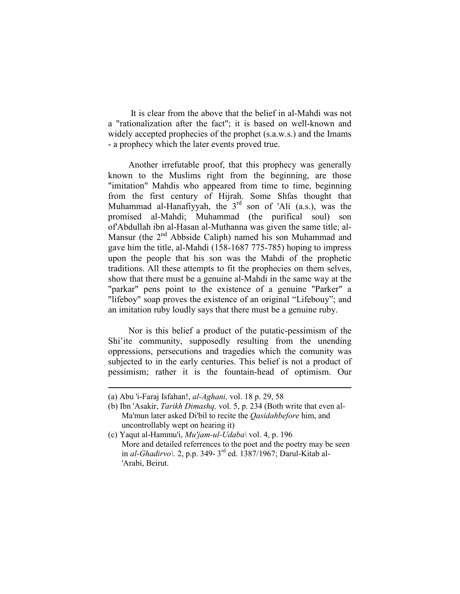It is clear from the above that the belief in al-Mahdi was not a "rationalization after the fact"; it is based on well-known and widely accepted prophecies of the prophet (s.a.w.s.) and the Imams - a prophecy which the later events proved true.

Another irrefutable proof, that this prophecy was generally known to the Muslims right from the beginning, are those "imitation" Mahdis who appeared from time to time, beginning from the first century of Hijrah. Some Shfas thought that Muhammad al-Hanafiyyah, the  $3<sup>rd</sup>$  son of 'Ali (a.s.), was the promised al-Mahdi; Muhammad (the purifical soul) son of'Abdullah ibn al-Hasan al-Muthanna was given the same title; al-Mansur (the 2<sup>nd</sup> Abbside Caliph) named his son Muhammad and gave him the title, al-Mahdi (158-1687 775-785) hoping to impress upon the people that his son was the Mahdi of the prophetic traditions. All these attempts to fit the prophecies on them selves, show that there must be a genuine al-Mahdi in the same way at the "parkar" pens point to the existence of a genuine "Parker" a "lifeboy" soap proves the existence of an original "Lifebouy"; and an imitation ruby loudly says that there must be a genuine ruby.

Nor is this belief a product of the putatic-pessimism of the Shi'ite community, supposedly resulting from the unending oppressions, persecutions and tragedies which the comunity was subjected to in the early centuries. This belief is not a product of pessimism; rather it is the fountain-head of optimism. Our

<sup>(</sup>a) Abu 'i-Faraj Isfahan!, al-Aghani, vol. 18 p. 29, 58

<sup>(</sup>b) Ibn 'Asakir, Tarikh Dimashq, vol. 5, p. 234 (Both write that even al-Ma'mun later asked Di'bil to recite the *Qasidahbefore* him, and uncontrollably wept on hearing it)

<sup>(</sup>c) Yaqut al-Hammu'i,  $Mu'$ *jam-ul-Udaba\* vol. 4, p. 196 More and detailed referrences to the poet and the poetry may be seen in al-Ghadirvo). 2, p.p. 349-  $3<sup>rd</sup>$  ed. 1387/1967; Darul-Kitab al-'Arabi, Beirut.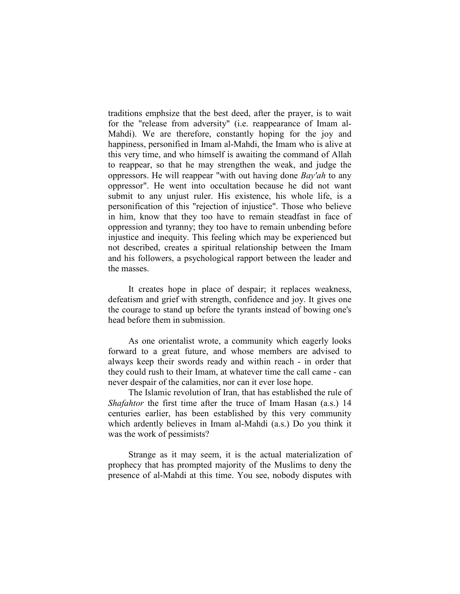traditions emphsize that the best deed, after the prayer, is to wait for the "release from adversity" (i.e. reappearance of Imam al-Mahdi). We are therefore, constantly hoping for the joy and happiness, personified in Imam al-Mahdi, the Imam who is alive at this very time, and who himself is awaiting the command of Allah to reappear, so that he may strengthen the weak, and judge the oppressors. He will reappear "with out having done Bay'ah to any oppressor". He went into occultation because he did not want submit to any unjust ruler. His existence, his whole life, is a personification of this "rejection of injustice". Those who believe in him, know that they too have to remain steadfast in face of oppression and tyranny; they too have to remain unbending before injustice and inequity. This feeling which may be experienced but not described, creates a spiritual relationship between the Imam and his followers, a psychological rapport between the leader and the masses.

It creates hope in place of despair; it replaces weakness, defeatism and grief with strength, confidence and joy. It gives one the courage to stand up before the tyrants instead of bowing one's head before them in submission.

As one orientalist wrote, a community which eagerly looks forward to a great future, and whose members are advised to always keep their swords ready and within reach - in order that they could rush to their Imam, at whatever time the call came - can never despair of the calamities, nor can it ever lose hope.

The Islamic revolution of Iran, that has established the rule of Shafahtor the first time after the truce of Imam Hasan (a.s.) 14 centuries earlier, has been established by this very community which ardently believes in Imam al-Mahdi (a.s.) Do you think it was the work of pessimists?

Strange as it may seem, it is the actual materialization of prophecy that has prompted majority of the Muslims to deny the presence of al-Mahdi at this time. You see, nobody disputes with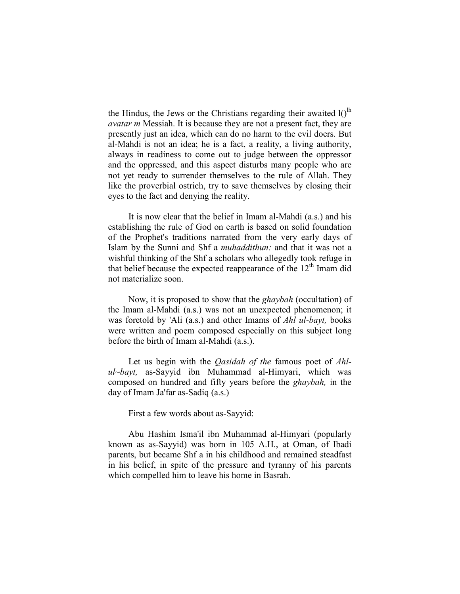the Hindus, the Jews or the Christians regarding their awaited  $I()^{lh}$ avatar m Messiah. It is because they are not a present fact, they are presently just an idea, which can do no harm to the evil doers. But al-Mahdi is not an idea; he is a fact, a reality, a living authority, always in readiness to come out to judge between the oppressor and the oppressed, and this aspect disturbs many people who are not yet ready to surrender themselves to the rule of Allah. They like the proverbial ostrich, try to save themselves by closing their eyes to the fact and denying the reality.

It is now clear that the belief in Imam al-Mahdi (a.s.) and his establishing the rule of God on earth is based on solid foundation of the Prophet's traditions narrated from the very early days of Islam by the Sunni and Shf a muhaddithun: and that it was not a wishful thinking of the Shf a scholars who allegedly took refuge in that belief because the expected reappearance of the  $12<sup>th</sup>$  Imam did not materialize soon.

Now, it is proposed to show that the ghaybah (occultation) of the Imam al-Mahdi (a.s.) was not an unexpected phenomenon; it was foretold by 'Ali (a.s.) and other Imams of *Ahl ul-bayt*, books were written and poem composed especially on this subject long before the birth of Imam al-Mahdi (a.s.).

Let us begin with the *Qasidah of the famous poet of Ahl* $ul$ -bayt, as-Sayyid ibn Muhammad al-Himyari, which was composed on hundred and fifty years before the ghaybah, in the day of Imam Ja'far as-Sadiq (a.s.)

First a few words about as-Sayyid:

Abu Hashim Isma'il ibn Muhammad al-Himyari (popularly known as as-Sayyid) was born in 105 A.H., at Oman, of Ibadi parents, but became Shf a in his childhood and remained steadfast in his belief, in spite of the pressure and tyranny of his parents which compelled him to leave his home in Basrah.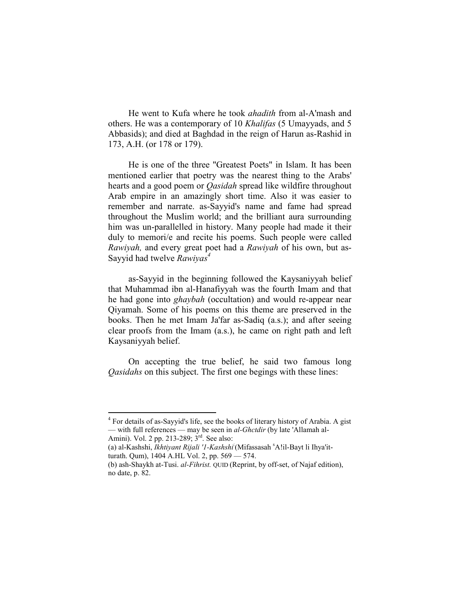He went to Kufa where he took ahadith from al-A'mash and others. He was a contemporary of 10 Khalifas (5 Umayyads, and 5 Abbasids); and died at Baghdad in the reign of Harun as-Rashid in 173, A.H. (or 178 or 179).

He is one of the three "Greatest Poets" in Islam. It has been mentioned earlier that poetry was the nearest thing to the Arabs' hearts and a good poem or Qasidah spread like wildfire throughout Arab empire in an amazingly short time. Also it was easier to remember and narrate. as-Sayyid's name and fame had spread throughout the Muslim world; and the brilliant aura surrounding him was un-parallelled in history. Many people had made it their duly to memori/e and recite his poems. Such people were called Rawiyah, and every great poet had a Rawiyah of his own, but as-Sayyid had twelve  $Rawiyas<sup>4</sup>$ 

as-Sayyid in the beginning followed the Kaysaniyyah belief that Muhammad ibn al-Hanafiyyah was the fourth Imam and that he had gone into *ghaybah* (occultation) and would re-appear near Qiyamah. Some of his poems on this theme are preserved in the books. Then he met Imam Ja'far as-Sadiq (a.s.); and after seeing clear proofs from the Imam (a.s.), he came on right path and left Kaysaniyyah belief.

On accepting the true belief, he said two famous long Qasidahs on this subject. The first one begings with these lines:

<sup>&</sup>lt;sup>4</sup> For details of as-Sayyid's life, see the books of literary history of Arabia. A gist — with full references — may be seen in al-Ghctdir (by late 'Allamah al-Amini). Vol. 2 pp. 213-289; 3<sup>rd</sup>. See also:

<sup>(</sup>a) al-Kashshi, Ikhtiyant Rijali '1-Kashshi (Mifassasah 'A!il-Bayt li Ihya'itturath. Qum), 1404 A.HL Vol. 2, pp. 569 — 574.

<sup>(</sup>b) ash-Shaykh at-Tusi. al-Fihrist. QUID (Reprint, by off-set, of Najaf edition), no date, p. 82.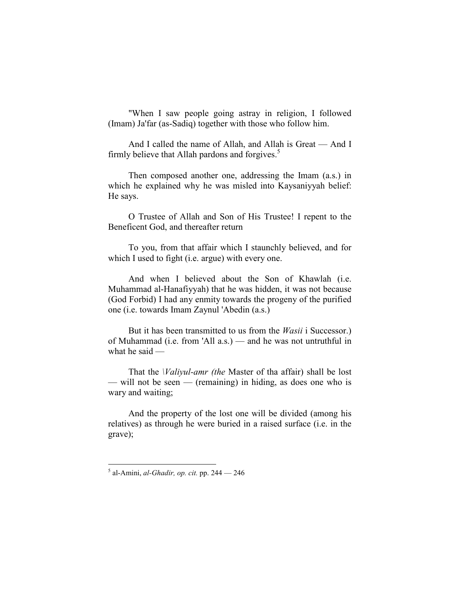"When I saw people going astray in religion, I followed (Imam) Ja'far (as-Sadiq) together with those who follow him.

And I called the name of Allah, and Allah is Great — And I firmly believe that Allah pardons and forgives. $5$ 

Then composed another one, addressing the Imam (a.s.) in which he explained why he was misled into Kaysaniyyah belief: He says.

O Trustee of Allah and Son of His Trustee! I repent to the Beneficent God, and thereafter return

To you, from that affair which I staunchly believed, and for which I used to fight (i.e. argue) with every one.

And when I believed about the Son of Khawlah (i.e. Muhammad al-Hanafiyyah) that he was hidden, it was not because (God Forbid) I had any enmity towards the progeny of the purified one (i.e. towards Imam Zaynul 'Abedin (a.s.)

But it has been transmitted to us from the *Wasii* i Successor.) of Muhammad (i.e. from 'All a.s.) — and he was not untruthful in what he said —

That the *Valivul-amr (the Master of tha affair)* shall be lost — will not be seen — (remaining) in hiding, as does one who is wary and waiting;

And the property of the lost one will be divided (among his relatives) as through he were buried in a raised surface (i.e. in the grave);

 5 al-Amini, al-Ghadir, op. cit. pp. 244 — 246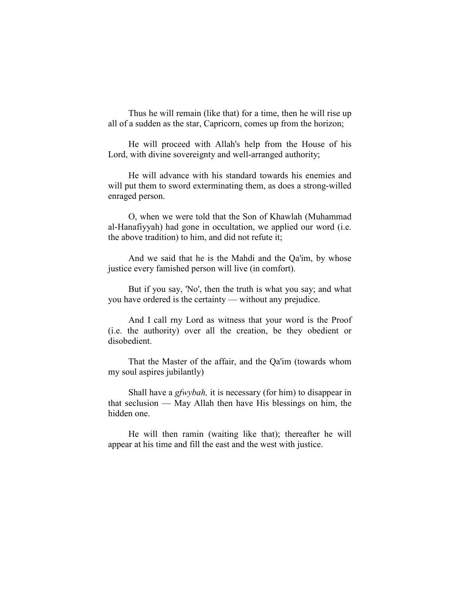Thus he will remain (like that) for a time, then he will rise up all of a sudden as the star, Capricorn, comes up from the horizon;

He will proceed with Allah's help from the House of his Lord, with divine sovereignty and well-arranged authority;

He will advance with his standard towards his enemies and will put them to sword exterminating them, as does a strong-willed enraged person.

O, when we were told that the Son of Khawlah (Muhammad al-Hanafiyyah) had gone in occultation, we applied our word (i.e. the above tradition) to him, and did not refute it;

And we said that he is the Mahdi and the Qa'im, by whose justice every famished person will live (in comfort).

But if you say, 'No', then the truth is what you say; and what you have ordered is the certainty — without any prejudice.

And I call rny Lord as witness that your word is the Proof (i.e. the authority) over all the creation, be they obedient or disobedient.

That the Master of the affair, and the Qa'im (towards whom my soul aspires jubilantly)

Shall have a *gfwybah*, it is necessary (for him) to disappear in that seclusion — May Allah then have His blessings on him, the hidden one.

He will then ramin (waiting like that); thereafter he will appear at his time and fill the east and the west with justice.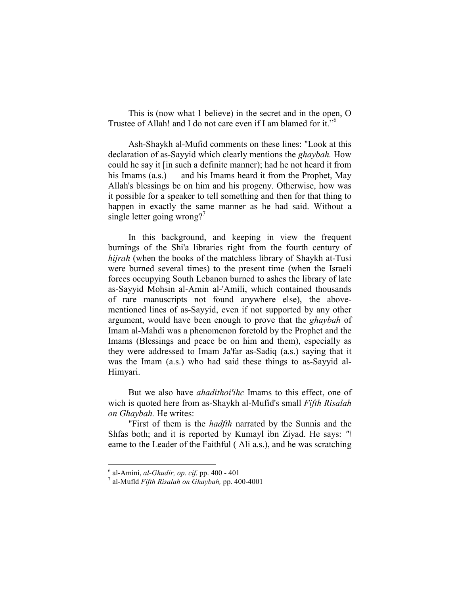This is (now what 1 believe) in the secret and in the open, O Trustee of Allah! and I do not care even if I am blamed for it."<sup>6</sup>

Ash-Shaykh al-Mufid comments on these lines: "Look at this declaration of as-Sayyid which clearly mentions the ghaybah. How could he say it [in such a definite manner); had he not heard it from his Imams (a.s.) — and his Imams heard it from the Prophet, May Allah's blessings be on him and his progeny. Otherwise, how was it possible for a speaker to tell something and then for that thing to happen in exactly the same manner as he had said. Without a single letter going wrong?<sup>7</sup>

In this background, and keeping in view the frequent burnings of the Shi'a libraries right from the fourth century of hijrah (when the books of the matchless library of Shaykh at-Tusi were burned several times) to the present time (when the Israeli forces occupying South Lebanon burned to ashes the library of late as-Sayyid Mohsin al-Amin al-'Amili, which contained thousands of rare manuscripts not found anywhere else), the abovementioned lines of as-Sayyid, even if not supported by any other argument, would have been enough to prove that the ghaybah of Imam al-Mahdi was a phenomenon foretold by the Prophet and the Imams (Blessings and peace be on him and them), especially as they were addressed to Imam Ja'far as-Sadiq (a.s.) saying that it was the Imam (a.s.) who had said these things to as-Sayyid al-Himyari.

But we also have *ahadithoi'ihc* Imams to this effect, one of wich is quoted here from as-Shaykh al-Mufid's small *Fifth Risalah* on Ghaybah. He writes:

"First of them is the *hadfth* narrated by the Sunnis and the Shfas both; and it is reported by Kumayl ibn Ziyad. He says: "\ eame to the Leader of the Faithful ( Ali a.s.), and he was scratching

<sup>-&</sup>lt;br>
<sup>6</sup> al-Amini, *al-Ghudir, op. cif.* pp. 400 - 401

 $^7$  al-Mufld Fifth Risalah on Ghaybah, pp. 400-4001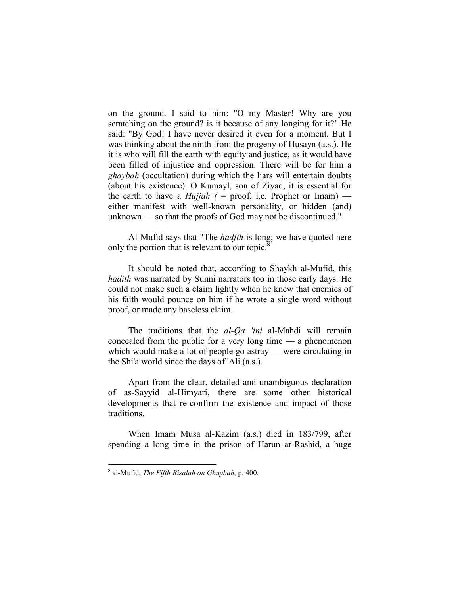on the ground. I said to him: "O my Master! Why are you scratching on the ground? is it because of any longing for it?" He said: "By God! I have never desired it even for a moment. But I was thinking about the ninth from the progeny of Husayn (a.s.). He it is who will fill the earth with equity and justice, as it would have been filled of injustice and oppression. There will be for him a ghaybah (occultation) during which the liars will entertain doubts (about his existence). O Kumayl, son of Ziyad, it is essential for the earth to have a *Hujjah*  $($  = proof, i.e. Prophet or Imam) either manifest with well-known personality, or hidden (and) unknown — so that the proofs of God may not be discontinued."

Al-Mufid says that "The *hadfth* is long; we have quoted here only the portion that is relevant to our topic.<sup>8</sup>

It should be noted that, according to Shaykh al-Mufid, this hadith was narrated by Sunni narrators too in those early days. He could not make such a claim lightly when he knew that enemies of his faith would pounce on him if he wrote a single word without proof, or made any baseless claim.

The traditions that the al-Qa 'ini al-Mahdi will remain concealed from the public for a very long time — a phenomenon which would make a lot of people go astray — were circulating in the Shi'a world since the days of 'Ali (a.s.).

Apart from the clear, detailed and unambiguous declaration of as-Sayyid al-Himyari, there are some other historical developments that re-confirm the existence and impact of those traditions.

When Imam Musa al-Kazim (a.s.) died in 183/799, after spending a long time in the prison of Harun ar-Rashid, a huge

 $^8$  al-Mufid, The Fifth Risalah on Ghaybah, p. 400.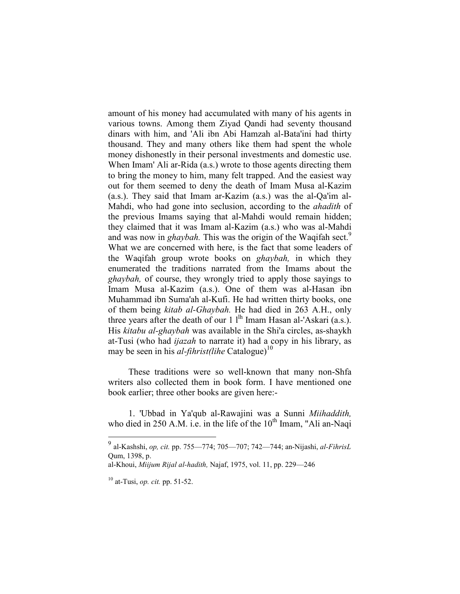amount of his money had accumulated with many of his agents in various towns. Among them Ziyad Qandi had seventy thousand dinars with him, and 'Ali ibn Abi Hamzah al-Bata'ini had thirty thousand. They and many others like them had spent the whole money dishonestly in their personal investments and domestic use. When Imam' Ali ar-Rida (a.s.) wrote to those agents directing them to bring the money to him, many felt trapped. And the easiest way out for them seemed to deny the death of Imam Musa al-Kazim (a.s.). They said that Imam ar-Kazim (a.s.) was the al-Qa'im al-Mahdi, who had gone into seclusion, according to the *ahadith* of the previous Imams saying that al-Mahdi would remain hidden; they claimed that it was Imam al-Kazim (a.s.) who was al-Mahdi and was now in *ghaybah*. This was the origin of the Waqifah sect.<sup>9</sup> What we are concerned with here, is the fact that some leaders of the Waqifah group wrote books on ghaybah, in which they enumerated the traditions narrated from the Imams about the ghaybah, of course, they wrongly tried to apply those sayings to Imam Musa al-Kazim (a.s.). One of them was al-Hasan ibn Muhammad ibn Suma'ah al-Kufi. He had written thirty books, one of them being kitab al-Ghaybah. He had died in 263 A.H., only three years after the death of our  $1 \text{ l}^{\text{lh}}$  Imam Hasan al-'Askari (a.s.). His kitabu al-ghaybah was available in the Shi'a circles, as-shaykh at-Tusi (who had ijazah to narrate it) had a copy in his library, as may be seen in his *al-fihrist(lihe* Catalogue)<sup>10</sup>

These traditions were so well-known that many non-Shfa writers also collected them in book form. I have mentioned one book earlier; three other books are given here:-

1. 'Ubbad in Ya'qub al-Rawajini was a Sunni Miihaddith, who died in 250 A.M. i.e. in the life of the  $10<sup>th</sup>$  Imam, "Ali an-Naqi

<sup>&</sup>lt;sup>9</sup> al-Kashshi, *op, cit.* pp. 755—774; 705—707; 742—744; an-Nijashi, *al-FihrisL* Qum, 1398, p.

al-Khoui, Miijum Rijal al-hadith, Najaf, 1975, vol. 11, pp. 229—246

 $10$  at-Tusi, *op. cit.* pp. 51-52.